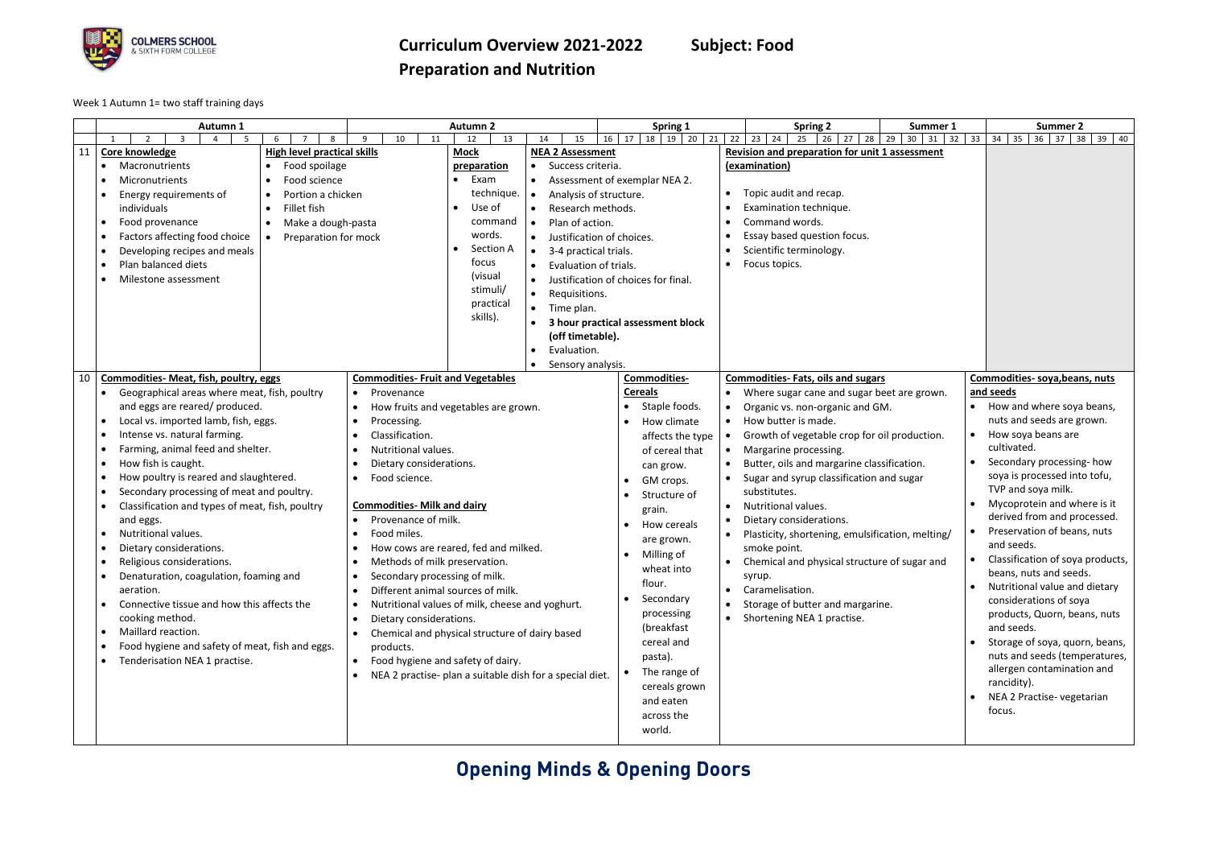

### **Curriculum Overview 2021-2022 Subject: Food Preparation and Nutrition**

Week 1 Autumn 1= two staff training days

|    | Autumn 1                                                                                                                                                                                                                                                                                                                                                                                                                                                                                                                                                                                                                                                                                                                                           |                                                                                                                                                       |                                                                                                                                                                                                                                                                                                                  | <b>Autumn 2</b>                                                                                                                                                                                                                                                                                                                                          |                                                                                                                                                                                                                                                                                                        | Spring 1                                                                                                                                                                                                                                                                                                                                                                   |                                                               | <b>Spring 2</b>                                                                                                                                                                                                                                                                                                                                                                                                                                                                                                                                                                                          | Summer 1                           | Summer 2                                                                                                                                                                                                                                                                                                                                                                                                                                                                                                                                                                                                                                                              |
|----|----------------------------------------------------------------------------------------------------------------------------------------------------------------------------------------------------------------------------------------------------------------------------------------------------------------------------------------------------------------------------------------------------------------------------------------------------------------------------------------------------------------------------------------------------------------------------------------------------------------------------------------------------------------------------------------------------------------------------------------------------|-------------------------------------------------------------------------------------------------------------------------------------------------------|------------------------------------------------------------------------------------------------------------------------------------------------------------------------------------------------------------------------------------------------------------------------------------------------------------------|----------------------------------------------------------------------------------------------------------------------------------------------------------------------------------------------------------------------------------------------------------------------------------------------------------------------------------------------------------|--------------------------------------------------------------------------------------------------------------------------------------------------------------------------------------------------------------------------------------------------------------------------------------------------------|----------------------------------------------------------------------------------------------------------------------------------------------------------------------------------------------------------------------------------------------------------------------------------------------------------------------------------------------------------------------------|---------------------------------------------------------------|----------------------------------------------------------------------------------------------------------------------------------------------------------------------------------------------------------------------------------------------------------------------------------------------------------------------------------------------------------------------------------------------------------------------------------------------------------------------------------------------------------------------------------------------------------------------------------------------------------|------------------------------------|-----------------------------------------------------------------------------------------------------------------------------------------------------------------------------------------------------------------------------------------------------------------------------------------------------------------------------------------------------------------------------------------------------------------------------------------------------------------------------------------------------------------------------------------------------------------------------------------------------------------------------------------------------------------------|
|    | $\overline{2}$<br>$\mathbf{3}$<br>5<br>$6 \overline{6}$                                                                                                                                                                                                                                                                                                                                                                                                                                                                                                                                                                                                                                                                                            | 8                                                                                                                                                     | 11<br>9<br>10                                                                                                                                                                                                                                                                                                    | 13<br>12                                                                                                                                                                                                                                                                                                                                                 | 15<br>14                                                                                                                                                                                                                                                                                               | 18<br>$19$ 20<br>$\vert$ 17<br>21<br>16                                                                                                                                                                                                                                                                                                                                    | 22                                                            | $23 \mid 24$<br>25<br>$26 \mid 27$<br>28                                                                                                                                                                                                                                                                                                                                                                                                                                                                                                                                                                 | 29<br>$30 \mid 31 \mid 32 \mid 33$ | $34 \mid 35$<br>36 37 38 39 40                                                                                                                                                                                                                                                                                                                                                                                                                                                                                                                                                                                                                                        |
| 11 | Core knowledge<br>Macronutrients<br>Micronutrients<br>$\bullet$<br>Energy requirements of<br>individuals<br>Food provenance<br>Factors affecting food choice<br>Developing recipes and meals<br>Plan balanced diets<br>Milestone assessment                                                                                                                                                                                                                                                                                                                                                                                                                                                                                                        | <b>High level practical skills</b><br>Food spoilage<br>Food science<br>Portion a chicken<br>Fillet fish<br>Make a dough-pasta<br>Preparation for mock |                                                                                                                                                                                                                                                                                                                  | <b>Mock</b><br>preparation<br>Exam<br>technique.<br>Use of<br>command<br>words.<br>Section A<br>focus<br>(visual<br>stimuli/<br>practical<br>skills).                                                                                                                                                                                                    | <b>NEA 2 Assessment</b><br>Success criteria.<br>Analysis of structure.<br>$\bullet$<br>Research methods.<br>Plan of action.<br>Justification of choices.<br>$\bullet$<br>3-4 practical trials.<br>$\bullet$<br>Evaluation of trials.<br>Requisitions.<br>Time plan.<br>(off timetable).<br>Evaluation. | Assessment of exemplar NEA 2.<br>Justification of choices for final.<br>3 hour practical assessment block                                                                                                                                                                                                                                                                  | $\bullet$                                                     | Revision and preparation for unit 1 assessment<br>(examination)<br>Topic audit and recap.<br>Examination technique.<br>Command words.<br>Essay based question focus.<br>Scientific terminology.<br>Focus topics.                                                                                                                                                                                                                                                                                                                                                                                         |                                    |                                                                                                                                                                                                                                                                                                                                                                                                                                                                                                                                                                                                                                                                       |
|    |                                                                                                                                                                                                                                                                                                                                                                                                                                                                                                                                                                                                                                                                                                                                                    |                                                                                                                                                       |                                                                                                                                                                                                                                                                                                                  |                                                                                                                                                                                                                                                                                                                                                          | Sensory analysis.                                                                                                                                                                                                                                                                                      |                                                                                                                                                                                                                                                                                                                                                                            |                                                               |                                                                                                                                                                                                                                                                                                                                                                                                                                                                                                                                                                                                          |                                    |                                                                                                                                                                                                                                                                                                                                                                                                                                                                                                                                                                                                                                                                       |
| 10 | <b>Commodities- Meat, fish, poultry, eggs</b><br>Geographical areas where meat, fish, poultry<br>and eggs are reared/ produced.<br>Local vs. imported lamb, fish, eggs.<br>Intense vs. natural farming.<br>Farming, animal feed and shelter.<br>How fish is caught.<br>How poultry is reared and slaughtered.<br>Secondary processing of meat and poultry.<br>Classification and types of meat, fish, poultry<br>and eggs.<br><b>Nutritional values.</b><br>Dietary considerations.<br>Religious considerations.<br>Denaturation, coagulation, foaming and<br>aeration.<br>Connective tissue and how this affects the<br>cooking method.<br>Maillard reaction.<br>Food hygiene and safety of meat, fish and eggs.<br>Tenderisation NEA 1 practise. |                                                                                                                                                       | <b>Commodities- Fruit and Vegetables</b><br>Provenance<br>Processing.<br>Classification.<br>Nutritional values.<br>Dietary considerations.<br>Food science.<br><b>Commodities- Milk and dairy</b><br>Provenance of milk.<br>Food miles.<br>Secondary processing of milk.<br>Dietary considerations.<br>products. | How fruits and vegetables are grown.<br>How cows are reared, fed and milked.<br>Methods of milk preservation.<br>Different animal sources of milk.<br>Nutritional values of milk, cheese and yoghurt.<br>Chemical and physical structure of dairy based<br>Food hygiene and safety of dairy.<br>NEA 2 practise- plan a suitable dish for a special diet. |                                                                                                                                                                                                                                                                                                        | <b>Commodities-</b><br><b>Cereals</b><br>Staple foods.<br>How climate<br>affects the type<br>of cereal that<br>can grow.<br>GM crops.<br>Structure of<br>grain.<br>How cereals<br>are grown.<br>Milling of<br>wheat into<br>flour.<br>Secondary<br>processing<br>(breakfast<br>cereal and<br>pasta).<br>The range of<br>cereals grown<br>and eaten<br>across the<br>world. | $\bullet$<br>$\bullet$<br>$\bullet$<br>$\bullet$<br>$\bullet$ | <b>Commodities-Fats, oils and sugars</b><br>Where sugar cane and sugar beet are grown.<br>Organic vs. non-organic and GM.<br>How butter is made.<br>Growth of vegetable crop for oil production.<br>Margarine processing.<br>Butter, oils and margarine classification.<br>Sugar and syrup classification and sugar<br>substitutes.<br>Nutritional values.<br>Dietary considerations.<br>Plasticity, shortening, emulsification, melting/<br>smoke point.<br>Chemical and physical structure of sugar and<br>syrup.<br>Caramelisation.<br>Storage of butter and margarine.<br>Shortening NEA 1 practise. |                                    | Commodities- soya, beans, nuts<br>and seeds<br>How and where soya beans,<br>nuts and seeds are grown.<br>How soya beans are<br>cultivated.<br>Secondary processing-how<br>soya is processed into tofu,<br>TVP and soya milk.<br>Mycoprotein and where is it<br>derived from and processed.<br>Preservation of beans, nuts<br>and seeds.<br>Classification of soya products,<br>beans, nuts and seeds.<br>Nutritional value and dietary<br>considerations of soya<br>products, Quorn, beans, nuts<br>and seeds.<br>Storage of soya, quorn, beans,<br>nuts and seeds (temperatures,<br>allergen contamination and<br>rancidity).<br>NEA 2 Practise-vegetarian<br>focus. |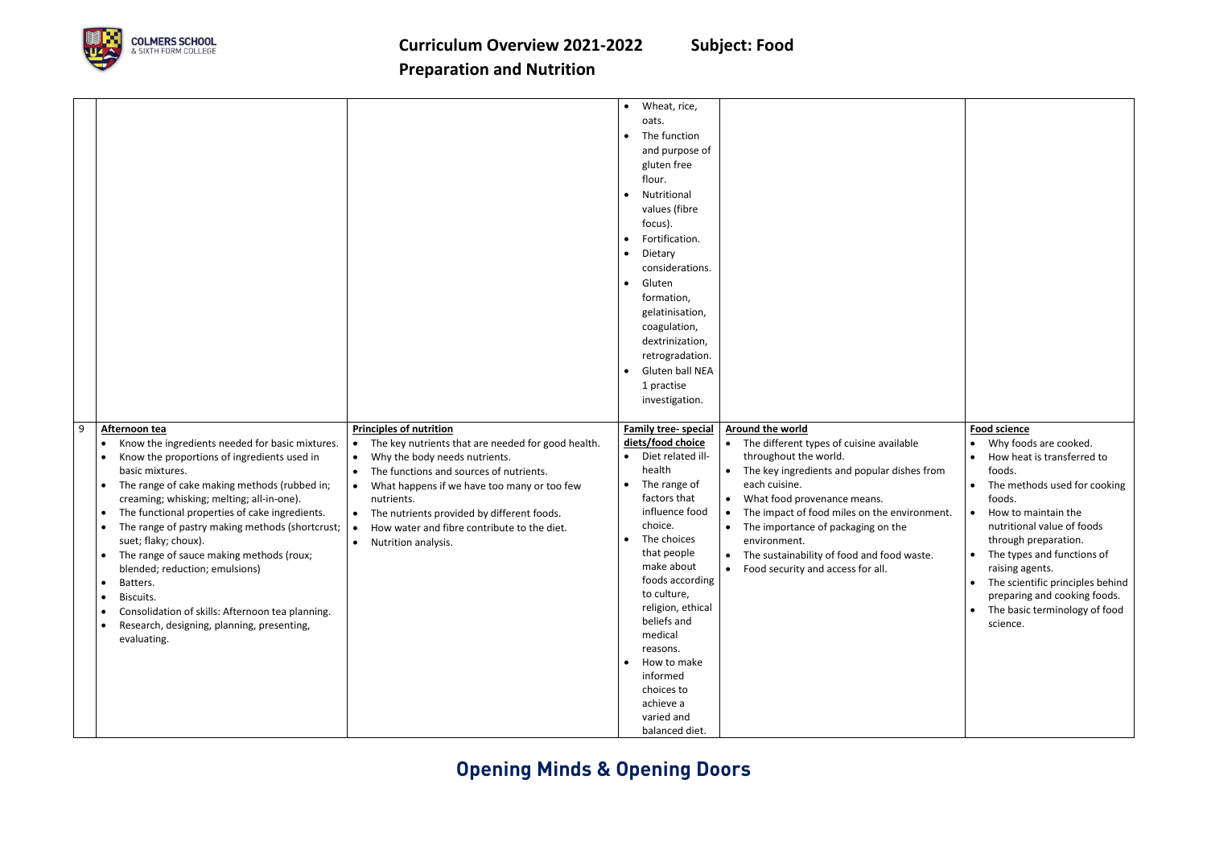

|                                                                                                                                                                                                                                                                                                                                                                                                                                                                                                                                                                                                                                                                                                                                                                                                                                                                                                                                                                                                                                                                                  | • Wheat, rice,<br>oats.<br>The function<br>$\bullet$<br>and purpose of<br>gluten free<br>flour.<br>Nutritional<br>$\bullet$<br>values (fibre<br>focus).<br>Fortification.<br>Dietary<br>$\bullet$<br>considerations.<br>Gluten<br>$\bullet$<br>formation,<br>gelatinisation,<br>coagulation,<br>dextrinization,<br>retrogradation.<br><b>Gluten ball NEA</b><br>1 practise<br>investigation.                                                                                                                                                                                                                                                                                                                                                                                                                                         |                                                                                                                                                                                                                                                                                                                                                                                                                      |
|----------------------------------------------------------------------------------------------------------------------------------------------------------------------------------------------------------------------------------------------------------------------------------------------------------------------------------------------------------------------------------------------------------------------------------------------------------------------------------------------------------------------------------------------------------------------------------------------------------------------------------------------------------------------------------------------------------------------------------------------------------------------------------------------------------------------------------------------------------------------------------------------------------------------------------------------------------------------------------------------------------------------------------------------------------------------------------|--------------------------------------------------------------------------------------------------------------------------------------------------------------------------------------------------------------------------------------------------------------------------------------------------------------------------------------------------------------------------------------------------------------------------------------------------------------------------------------------------------------------------------------------------------------------------------------------------------------------------------------------------------------------------------------------------------------------------------------------------------------------------------------------------------------------------------------|----------------------------------------------------------------------------------------------------------------------------------------------------------------------------------------------------------------------------------------------------------------------------------------------------------------------------------------------------------------------------------------------------------------------|
| 9<br><b>Principles of nutrition</b><br>Afternoon tea<br>Know the ingredients needed for basic mixtures.<br>The key nutrients that are needed for good health.<br>$\bullet$<br>Know the proportions of ingredients used in<br>Why the body needs nutrients.<br>$\bullet$<br>basic mixtures.<br>The functions and sources of nutrients.<br>$\bullet$<br>The range of cake making methods (rubbed in;<br>What happens if we have too many or too few<br>$\bullet$<br>creaming; whisking; melting; all-in-one).<br>nutrients.<br>The functional properties of cake ingredients.<br>The nutrients provided by different foods.<br>The range of pastry making methods (shortcrust;<br>How water and fibre contribute to the diet.<br>$\bullet$<br>suet; flaky; choux).<br>Nutrition analysis.<br>$\bullet$<br>The range of sauce making methods (roux;<br>blended; reduction; emulsions)<br>Batters.<br>$\bullet$<br>Biscuits.<br>$\bullet$<br>Consolidation of skills: Afternoon tea planning.<br>$\bullet$<br>Research, designing, planning, presenting,<br>$\bullet$<br>evaluating. | Around the world<br><b>Family tree-special</b><br>diets/food choice<br>• The different types of cuisine available<br>• Diet related ill-<br>throughout the world.<br>health<br>The key ingredients and popular dishes from<br>$\bullet$<br>• The range of<br>each cuisine.<br>factors that<br>What food provenance means.<br>$\bullet$<br>influence food<br>The impact of food miles on the environment.<br>choice.<br>The importance of packaging on the<br>$\bullet$<br>The choices<br>environment.<br>that people<br>The sustainability of food and food waste.<br>$\bullet$<br>make about<br>• Food security and access for all.<br>foods according<br>to culture,<br>religion, ethical<br>beliefs and<br>medical<br>reasons.<br>How to make<br>$\bullet$<br>informed<br>choices to<br>achieve a<br>varied and<br>balanced diet. | <b>Food science</b><br>Why foods are cooked.<br>How heat is transferred to<br>foods.<br>The methods used for cooking<br>foods.<br>How to maintain the<br>$\bullet$<br>nutritional value of foods<br>through preparation.<br>The types and functions of<br>$\bullet$<br>raising agents.<br>The scientific principles behind<br>preparing and cooking foods.<br>The basic terminology of food<br>$\bullet$<br>science. |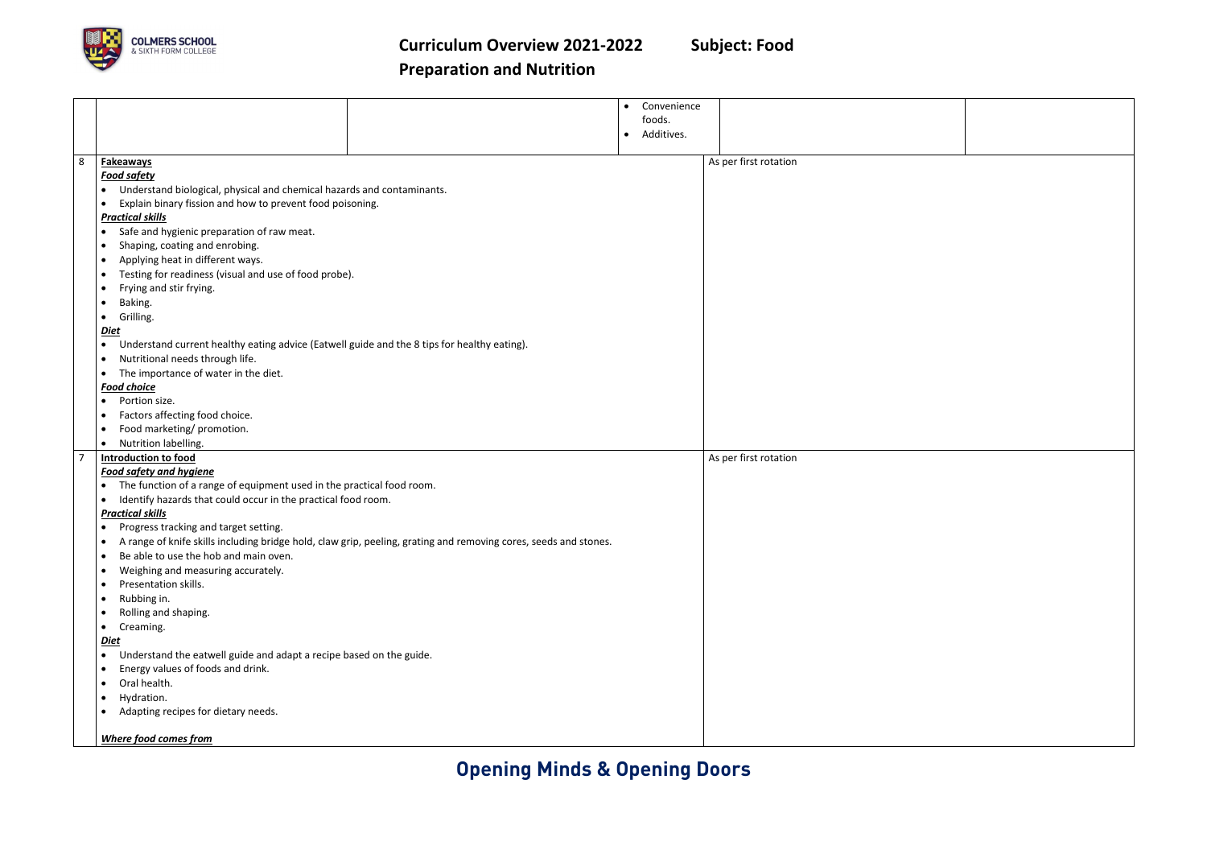

|                                                                                                                                   |                                                                                                                               | Convenience<br>$\bullet$ |                       |  |  |           |
|-----------------------------------------------------------------------------------------------------------------------------------|-------------------------------------------------------------------------------------------------------------------------------|--------------------------|-----------------------|--|--|-----------|
|                                                                                                                                   |                                                                                                                               | foods.                   |                       |  |  |           |
|                                                                                                                                   |                                                                                                                               | Additives.<br>$\bullet$  |                       |  |  |           |
|                                                                                                                                   |                                                                                                                               |                          |                       |  |  |           |
| 8                                                                                                                                 | <b>Fakeaways</b>                                                                                                              |                          | As per first rotation |  |  |           |
|                                                                                                                                   | <b>Food safety</b>                                                                                                            |                          |                       |  |  |           |
|                                                                                                                                   | Understand biological, physical and chemical hazards and contaminants.                                                        |                          |                       |  |  |           |
|                                                                                                                                   | Explain binary fission and how to prevent food poisoning.                                                                     |                          |                       |  |  |           |
|                                                                                                                                   | <b>Practical skills</b>                                                                                                       |                          |                       |  |  |           |
|                                                                                                                                   | Safe and hygienic preparation of raw meat.                                                                                    |                          |                       |  |  |           |
| $\bullet$                                                                                                                         | Shaping, coating and enrobing.                                                                                                |                          |                       |  |  |           |
|                                                                                                                                   |                                                                                                                               |                          |                       |  |  |           |
| Applying heat in different ways.<br>Testing for readiness (visual and use of food probe).<br>Frying and stir frying.<br>$\bullet$ |                                                                                                                               |                          |                       |  |  |           |
|                                                                                                                                   |                                                                                                                               |                          |                       |  |  | $\bullet$ |
|                                                                                                                                   | Grilling.<br>$\bullet$                                                                                                        |                          |                       |  |  |           |
|                                                                                                                                   | <b>Diet</b>                                                                                                                   |                          |                       |  |  |           |
|                                                                                                                                   | Understand current healthy eating advice (Eatwell guide and the 8 tips for healthy eating).                                   |                          |                       |  |  |           |
| $\bullet$                                                                                                                         | Nutritional needs through life.                                                                                               |                          |                       |  |  |           |
|                                                                                                                                   | The importance of water in the diet.                                                                                          |                          |                       |  |  |           |
|                                                                                                                                   | <b>Food choice</b>                                                                                                            |                          |                       |  |  |           |
|                                                                                                                                   | Portion size.<br>$\bullet$                                                                                                    |                          |                       |  |  |           |
|                                                                                                                                   | Factors affecting food choice.                                                                                                |                          |                       |  |  |           |
|                                                                                                                                   | Food marketing/ promotion.                                                                                                    |                          |                       |  |  |           |
|                                                                                                                                   | Nutrition labelling.<br>$\bullet$                                                                                             |                          |                       |  |  |           |
| -7                                                                                                                                | <b>Introduction to food</b>                                                                                                   |                          | As per first rotation |  |  |           |
|                                                                                                                                   | <b>Food safety and hygiene</b>                                                                                                |                          |                       |  |  |           |
|                                                                                                                                   | The function of a range of equipment used in the practical food room.<br>$\bullet$                                            |                          |                       |  |  |           |
| Identify hazards that could occur in the practical food room.<br>$\bullet$                                                        |                                                                                                                               |                          |                       |  |  |           |
|                                                                                                                                   | <b>Practical skills</b>                                                                                                       |                          |                       |  |  |           |
|                                                                                                                                   | Progress tracking and target setting.                                                                                         |                          |                       |  |  |           |
|                                                                                                                                   | A range of knife skills including bridge hold, claw grip, peeling, grating and removing cores, seeds and stones.<br>$\bullet$ |                          |                       |  |  |           |
|                                                                                                                                   | Be able to use the hob and main oven.<br>$\bullet$                                                                            |                          |                       |  |  |           |
|                                                                                                                                   | Weighing and measuring accurately.                                                                                            |                          |                       |  |  |           |
| $\bullet$                                                                                                                         | Presentation skills.                                                                                                          |                          |                       |  |  |           |
|                                                                                                                                   | Rubbing in.<br>$\bullet$                                                                                                      |                          |                       |  |  |           |
|                                                                                                                                   | Rolling and shaping.                                                                                                          |                          |                       |  |  |           |
|                                                                                                                                   | Creaming.<br>$\bullet$                                                                                                        |                          |                       |  |  |           |
|                                                                                                                                   | <b>Diet</b>                                                                                                                   |                          |                       |  |  |           |
| $\bullet$                                                                                                                         | Understand the eatwell guide and adapt a recipe based on the guide.                                                           |                          |                       |  |  |           |
| $\bullet$                                                                                                                         | Energy values of foods and drink.                                                                                             |                          |                       |  |  |           |
| $\bullet$                                                                                                                         | Oral health.                                                                                                                  |                          |                       |  |  |           |
|                                                                                                                                   |                                                                                                                               |                          |                       |  |  |           |
|                                                                                                                                   |                                                                                                                               |                          |                       |  |  |           |
| $\bullet$                                                                                                                         | Hydration.                                                                                                                    |                          |                       |  |  |           |
|                                                                                                                                   | Adapting recipes for dietary needs.<br>$\bullet$                                                                              |                          |                       |  |  |           |
|                                                                                                                                   | <b>Where food comes from</b>                                                                                                  |                          |                       |  |  |           |